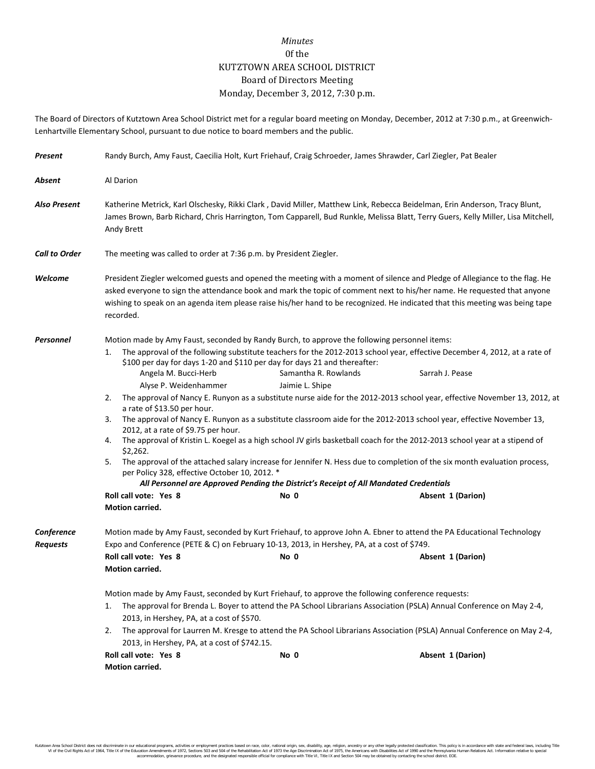## *Minutes* 0f the KUTZTOWN AREA SCHOOL DISTRICT Board of Directors Meeting Monday, December 3, 2012, 7:30 p.m.

The Board of Directors of Kutztown Area School District met for a regular board meeting on Monday, December, 2012 at 7:30 p.m., at Greenwich-Lenhartville Elementary School, pursuant to due notice to board members and the public.

| Present                       | Randy Burch, Amy Faust, Caecilia Holt, Kurt Friehauf, Craig Schroeder, James Shrawder, Carl Ziegler, Pat Bealer                                                                                                                                                                                                                                                                                                                                                                                                                                                                                                                                                                                                                                                                                                                                                                                                                                                                                                                                                                                                                                                                                                                                                   |  |  |  |  |  |  |
|-------------------------------|-------------------------------------------------------------------------------------------------------------------------------------------------------------------------------------------------------------------------------------------------------------------------------------------------------------------------------------------------------------------------------------------------------------------------------------------------------------------------------------------------------------------------------------------------------------------------------------------------------------------------------------------------------------------------------------------------------------------------------------------------------------------------------------------------------------------------------------------------------------------------------------------------------------------------------------------------------------------------------------------------------------------------------------------------------------------------------------------------------------------------------------------------------------------------------------------------------------------------------------------------------------------|--|--|--|--|--|--|
| Absent                        | Al Darion                                                                                                                                                                                                                                                                                                                                                                                                                                                                                                                                                                                                                                                                                                                                                                                                                                                                                                                                                                                                                                                                                                                                                                                                                                                         |  |  |  |  |  |  |
| <b>Also Present</b>           | Katherine Metrick, Karl Olschesky, Rikki Clark, David Miller, Matthew Link, Rebecca Beidelman, Erin Anderson, Tracy Blunt,<br>James Brown, Barb Richard, Chris Harrington, Tom Capparell, Bud Runkle, Melissa Blatt, Terry Guers, Kelly Miller, Lisa Mitchell,<br>Andy Brett                                                                                                                                                                                                                                                                                                                                                                                                                                                                                                                                                                                                                                                                                                                                                                                                                                                                                                                                                                                      |  |  |  |  |  |  |
| <b>Call to Order</b>          | The meeting was called to order at 7:36 p.m. by President Ziegler.                                                                                                                                                                                                                                                                                                                                                                                                                                                                                                                                                                                                                                                                                                                                                                                                                                                                                                                                                                                                                                                                                                                                                                                                |  |  |  |  |  |  |
| Welcome                       | President Ziegler welcomed guests and opened the meeting with a moment of silence and Pledge of Allegiance to the flag. He<br>asked everyone to sign the attendance book and mark the topic of comment next to his/her name. He requested that anyone<br>wishing to speak on an agenda item please raise his/her hand to be recognized. He indicated that this meeting was being tape<br>recorded.                                                                                                                                                                                                                                                                                                                                                                                                                                                                                                                                                                                                                                                                                                                                                                                                                                                                |  |  |  |  |  |  |
| Personnel                     | Motion made by Amy Faust, seconded by Randy Burch, to approve the following personnel items:<br>The approval of the following substitute teachers for the 2012-2013 school year, effective December 4, 2012, at a rate of<br>1.<br>\$100 per day for days 1-20 and \$110 per day for days 21 and thereafter:<br>Angela M. Bucci-Herb<br>Samantha R. Rowlands<br>Sarrah J. Pease<br>Alyse P. Weidenhammer<br>Jaimie L. Shipe<br>The approval of Nancy E. Runyon as a substitute nurse aide for the 2012-2013 school year, effective November 13, 2012, at<br>2.<br>a rate of \$13.50 per hour.<br>3.<br>The approval of Nancy E. Runyon as a substitute classroom aide for the 2012-2013 school year, effective November 13,<br>2012, at a rate of \$9.75 per hour.<br>4. The approval of Kristin L. Koegel as a high school JV girls basketball coach for the 2012-2013 school year at a stipend of<br>\$2,262.<br>5. The approval of the attached salary increase for Jennifer N. Hess due to completion of the six month evaluation process,<br>per Policy 328, effective October 10, 2012. *<br>All Personnel are Approved Pending the District's Receipt of All Mandated Credentials<br>Roll call vote: Yes 8<br>No 0<br>Absent 1 (Darion)<br>Motion carried. |  |  |  |  |  |  |
| Conference<br><b>Requests</b> | Motion made by Amy Faust, seconded by Kurt Friehauf, to approve John A. Ebner to attend the PA Educational Technology<br>Expo and Conference (PETE & C) on February 10-13, 2013, in Hershey, PA, at a cost of \$749.<br>Roll call vote: Yes 8<br>No 0<br>Absent 1 (Darion)<br><b>Motion carried.</b><br>Motion made by Amy Faust, seconded by Kurt Friehauf, to approve the following conference requests:<br>The approval for Brenda L. Boyer to attend the PA School Librarians Association (PSLA) Annual Conference on May 2-4,<br>1.<br>2013, in Hershey, PA, at a cost of \$570.<br>The approval for Laurren M. Kresge to attend the PA School Librarians Association (PSLA) Annual Conference on May 2-4,<br>2.<br>2013, in Hershey, PA, at a cost of \$742.15.<br>Roll call vote: Yes 8<br>No 0<br>Absent 1 (Darion)                                                                                                                                                                                                                                                                                                                                                                                                                                       |  |  |  |  |  |  |
|                               | Motion carried.                                                                                                                                                                                                                                                                                                                                                                                                                                                                                                                                                                                                                                                                                                                                                                                                                                                                                                                                                                                                                                                                                                                                                                                                                                                   |  |  |  |  |  |  |